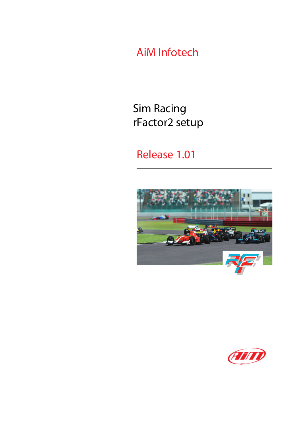AiM Infotech

Sim Racing rFactor2 setup

Release 1.01



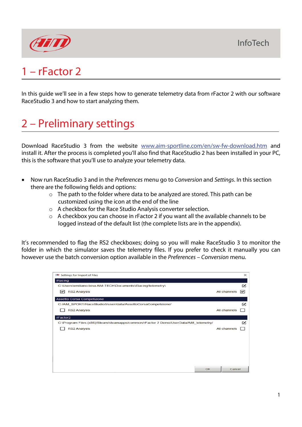

# 1 – rFactor 2

In this guide we'll see in a few steps how to generate telemetry data from rFactor 2 with our software RaceStudio 3 and how to start analyzing them.

# 2 – Preliminary settings

Download RaceStudio 3 from the website [www.aim-sportline.com/en/sw-fw-download.htm](http://www.aim-sportline.com/en/sw-fw-download.htm) and install it. After the process is completed you'll also find that RaceStudio 2 has been installed in your PC, this is the software that you'll use to analyze your telemetry data.

- Now run RaceStudio 3 and in the *Preferences* menu go to *Conversion* and *Settings*. In this section there are the following fields and options:
	- o The path to the folder where data to be analyzed are stored. This path can be customized using the icon at the end of the line
	- o A checkbox for the Race Studio Analysis converter selection.
	- o A checkbox you can choose in rFactor 2 if you want all the available channels to be logged instead of the default list (the complete lists are in the appendix).

It's recommended to flag the RS2 checkboxes; doing so you will make RaceStudio 3 to monitor the folder in which the simulator saves the telemetry files. If you prefer to check it manually you can however use the batch conversion option available in the *Preferences* – *Conversion* menu.

| <b>RSP</b> Settings for Import of Files                                              |              | $\times$ |
|--------------------------------------------------------------------------------------|--------------|----------|
| <b>iRacing</b>                                                                       |              |          |
| C:\Users\emiliano.bina.AIM-TECH\Documents\iRacing\telemetry\                         |              | Ø        |
| <b>RS2 Analysis</b><br>∣V                                                            | All channels | ∣∽∣      |
| Assetto Corsa Competizione                                                           |              |          |
| C:/AIM_SPORT/RaceStudio3/user/data/AssettoCorsaCompetizione/                         |              | Ø        |
| <b>RS2 Analysis</b>                                                                  | All channels |          |
| rFactor2                                                                             |              |          |
| C:\Program Files (x86)/Steam/steamapps/common/rFactor 2 Demo/UserData/AiM_telemetry/ |              | Ø        |
| <b>RS2 Analysis</b>                                                                  | All channels |          |
|                                                                                      |              |          |
|                                                                                      |              |          |
|                                                                                      |              |          |
|                                                                                      |              |          |
|                                                                                      |              |          |
|                                                                                      |              |          |
| OK                                                                                   | Cancel       |          |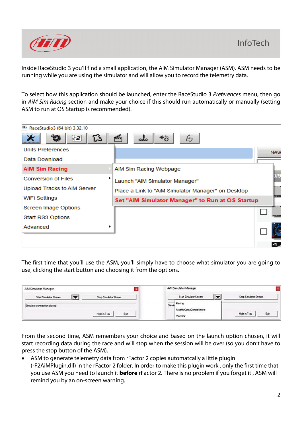

Inside RaceStudio 3 you'll find a small application, the AiM Simulator Manager (ASM). ASM needs to be running while you are using the simulator and will allow you to record the telemetry data.

To select how this application should be launched, enter the RaceStudio 3 *Preferences* menu, then go in *AiM Sim Racing* section and make your choice if this should run automatically or manually (setting ASM to run at OS Startup is recommended).



The first time that you'll use the ASM, you'll simply have to choose what simulator you are going to use, clicking the start button and choosing it from the options.

| AiM Simulator Manager                                  | AiM Simulator Manager                                 |                              |
|--------------------------------------------------------|-------------------------------------------------------|------------------------------|
| <b>Start Simulator Stream</b><br>Stop Simulator Stream | $\Gamma$<br><b>Start Simulator Stream</b>             | <b>Stop Simulator Stream</b> |
| Simulator connection closed<br>Ext<br>High in Tray     | Simula Racing<br>AssettoCorsaCompetizione<br>rFactor2 | Egit<br>High in Tray         |

From the second time, ASM remembers your choice and based on the launch option chosen, it will start recording data during the race and will stop when the session will be over (so you don't have to press the stop button of the ASM).

• ASM to generate telemetry data from rFactor 2 copies automatcally a little plugin (rF2AiMPlugin.dll) in the rFactor 2 folder. In order to make this plugin work , only the first time that you use ASM you need to launch it **before** rFactor 2. There is no problem if you forget it , ASM will remind you by an on-screen warning.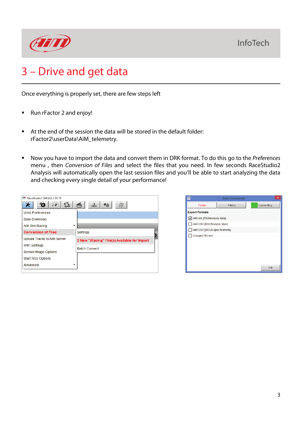

# 3 – Drive and get data

Once everything is properly set, there are few steps left

- Run rFactor 2 and enjoy!
- At the end of the session the data will be stored in the default folder: rFactor2\userData\AiM\_telemetry.
- Now you have to import the data and convert them in DRK format. To do this go to the *Preferences* menu , then *Conversion of Files* and select the files that you need. In few seconds RaceStudio2 Analysis will automatically open the last session files and you'll be able to start analyzing the data and checking every single detail of your performance!

| RaceStudio3 (64 bit) 3.32.10 |                                              |
|------------------------------|----------------------------------------------|
| B<br>[√2                     | 嚼<br>纪<br>ᅹ                                  |
| <b>Units Preferences</b>     |                                              |
| Data Download                |                                              |
| AiM Sim Racing               |                                              |
| <b>Conversion of Files</b>   | Settings                                     |
| Upload Tracks to AiM Server  | 2 New "iRacing" File(s) Available for Import |
| <b>WiFi Settings</b>         |                                              |
|                              | <b>Batch Convert</b>                         |
| <b>Screen Image Options</b>  |                                              |
| Start RS3 Options            |                                              |
| Advanced                     |                                              |

| RS                            | <b>Batch Conversion</b> | ×          |  |
|-------------------------------|-------------------------|------------|--|
| Folder                        | File(s)                 | Converting |  |
| <b>Export Formats</b>         |                         |            |  |
| AiM drk [RS2Analysis data]    |                         |            |  |
| AiM CSV [RS2Analysis style]   |                         |            |  |
| AiM CSV [SCCA Specifications] |                         |            |  |
| Google(TM) kml                |                         |            |  |
|                               |                         |            |  |
|                               |                         |            |  |
|                               |                         |            |  |
|                               |                         |            |  |
|                               |                         | Exit       |  |
|                               |                         |            |  |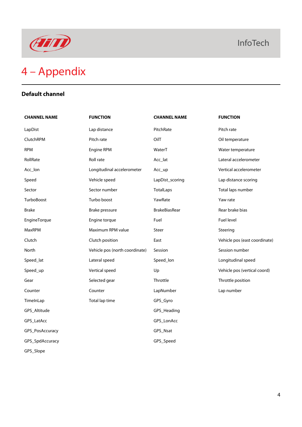

### **Default channel**

| <b>CHANNEL NAME</b> | <b>FUNCTION</b>                | <b>CHANNEL NAME</b>  | <b>FUNCTION</b>               |
|---------------------|--------------------------------|----------------------|-------------------------------|
| LapDist             | Lap distance                   | PitchRate            | Pitch rate                    |
| ClutchRPM           | Pitch rate                     | OilT                 | Oil temperature               |
| <b>RPM</b>          | Engine RPM                     | WaterT               | Water temperature             |
| RollRate            | Roll rate                      | Acc_lat              | Lateral accelerometer         |
| Acc_lon             | Longitudinal accelerometer     | Acc_up               | Vertical accelerometer        |
| Speed               | Vehicle speed                  | LapDist_scoring      | Lap distance scoring          |
| Sector              | Sector number                  | <b>TotalLaps</b>     | Total laps number             |
| TurboBoost          | Turbo boost                    | YawRate              | Yaw rate                      |
| <b>Brake</b>        | Brake pressure                 | <b>BrakeBiasRear</b> | Rear brake bias               |
| EngineTorque        | Engine torque                  | Fuel                 | Fuel level                    |
| MaxRPM              | Maximum RPM value              | Steer                | Steering                      |
| Clutch              | Clutch position                | East                 | Vehicle pos (east coordinate) |
| North               | Vehicle pos (north coordinate) | Session              | Session number                |
| Speed_lat           | Lateral speed                  | Speed_lon            | Longitudinal speed            |
| Speed_up            | Vertical speed                 | Up                   | Vehicle pos (vertical coord)  |
| Gear                | Selected gear                  | Throttle             | Throttle position             |
| Counter             | Counter                        | LapNumber            | Lap number                    |
| TimeInLap           | Total lap time                 | GPS_Gyro             |                               |
| GPS_Altitude        |                                | GPS_Heading          |                               |
| GPS_LatAcc          |                                | GPS_LonAcc           |                               |
| GPS_PosAccuracy     |                                | GPS_Nsat             |                               |
| GPS_SpdAccuracy     |                                | GPS_Speed            |                               |
| GPS_Slope           |                                |                      |                               |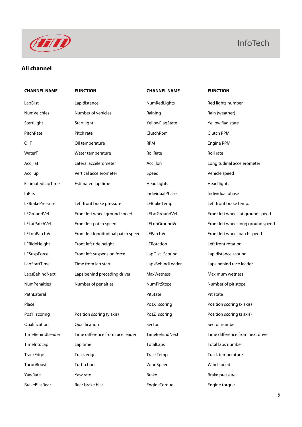

### **All channel**

## **CHANNEL NAME FUNCTION CHANNEL NAME FUNCTION**

LapDist Lap distance Lap distance NumRedLights Red lights number NumVeichles Mumber of vehicles Raining Raining Rain (weather) StartLight Start light Start light Start In the Yellow Flag State Start In the Start In Start light Start In t PitchRate **Pitch rate** Pitch rate **Pitch RPM** Clutch RPM **Clutch RPM** OilT Oil temperature RPM Engine RPM WaterT **Water temperature** RollRate Roll Relate Roll rate Acc\_lat **Lateral accelerometer** Acc\_lon **Constanting Longitudinal accelerometer** Acc\_lon Acc\_up Vertical accelerometer Speed Vehicle speed EstimatedLapTime Estimated lap time HeadLights Head lights InPits IndividualPhase Individual phase LFBrakePressure Left front brake pressure LFBrakeTemp Left front brake temp. LFGroundVel Front left wheel ground speed LFLatGroundVel Front left wheel lat ground speed LFLatPatchVel Front left patch speed LFLonGroundVel Front left wheel long ground speed LFLonPatchVel Front left longitudinal patch speed LFPatchVel Front left wheel patch speed LFRideHeight Front left ride height LFRotation Left front rotation LFSuspForce Front left suspension force LapDist\_Scoring Lap distance scoring LapStartTime Time from lap start LapsBehindLeader Laps behind race leader LapsBehindNext Laps behind preceding driver MaxWetness Maximum wetness NumPenalties Number of penalties NumPitStops Number of pit stops PathLateral Philosophy and PitState PitState PitState PitState PitState PitState PitState PitState PitState PitState PitState PitState PitState PitState PitState PitState PitState PitState PitState PitState PitState PitSta Place PosX\_scoring PosX\_scoring Post Position scoring (x axis) PosY\_scoring Position scoring (y axis) Posz\_scoring Post in Position scoring (z axis) Qualification Qualification Sector Sector number TimeBehindLeader Time difference from race leader TimeBehindNext Time difference from next driver TimeIntoLap Lap time TotalLaps Total laps number TrackEdge Track edge TrackTemp TrackTemp TrackTemp Track temperature TurboBoost Turbo boost WindSpeed Wind speed

YawRate Tawrate **Yawrate Yawrate** Brake Brake Brake Brake Brake Brake Brake Brake Brake Pressure

BrakeBiasRear Rear brake bias EngineTorque Engine torque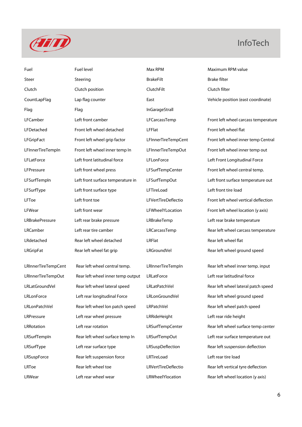

Fuel **Fuel Level Communist Communist Communist Communist Communist Communist Communist Communist Communist Communist Communist Communist Communist Communist Communist Communist Communist Communist Communist Communist Commu** Steer Steering BrakeFilt BrakeFilt BrakeFilt Brake filter Clutch Clutch position ClutchFilt ClutchFilt Clutch filter Flag Flag Flag InGarageStrall LFDetached Front left wheel detached LFFlat Front left wheel flat LFSurfType Left front surface type LFTireLoad Left front tire load LRBrakePressure Left rear brake pressure LRBrakeTemp Left rear brake temperature LRdetached **Rear left wheel detached Rear LRFlat** Rear left wheel flat

LRInnerTireTempOut Rear left wheel inner temp output LRLatForce Left rear latitudinal force LRLonForce **Left rear longitudinal Force** LRLonGroundVel Rear left wheel ground speed LRLonPatchVel **Rear left wheel lon patch speed** LRPatchVel Rear left wheel patch speed LRPressure Left rear wheel pressure LRRideHeight Left rear ride height LRSurfType Left rear surface type LRSuspDeflection Rear left suspension deflection LRSuspForce **Rear left suspension force** Rear LRTireLoad Left rear tire load LRToe Rear left wheel toe LRVertTireDeflectio Rear left vertical tyre deflection LRWear Left rear wheel wear LRWheelYlocation Rear left wheel location (y axis)

CountLapFlag Lap flag counter East Vehicle position (east coordinate) LFCamber Left front camber LFCarcassTemp Front left wheel carcass temperature LFGripFact Front left wheel grip factor LFInnerTireTempCent Front left wheel inner temp Central LFInnerTireTempIn Front left wheel inner temp In LFInnerTireTempOut Front left wheel inner temp out LFLatForce Left front latitudinal force LFLonForce Left Front Longitudinal Force LFPressure Left front wheel press LFSurfTempCenter Front left wheel central temp. LFSurfTempIn Left front surface temperature in LFSurfTempOut Left front surface temperature out LFToe Left front toe LFVertTireDeflectio Front left wheel vertical deflection LFWear Left front wear LFWheelYLocation Front left wheel location (y axis) LRCamber Left rear tire camber LRCarcassTemp Rear left wheel carcass temperature LRGripFat **Rear left wheel fat grip** LRGroundVel Rear left wheel ground speed LRInnerTireTempCent Rear left wheel central temp. LRInnerTireTempIn Rear left wheel inner temp. input LRLatGroundVel Rear left wheel lateral speed LRLatPatchVel Rear left wheel lateral patch speed

LRRotation Left rear rotation LRSurfTempCenter Rear left wheel surface temp center LRSurfTempIn Rear left wheel surface temp In LRSurfTempOut Left rear surface temperature out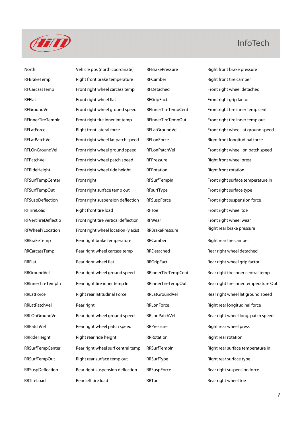

North Vehicle pos (north coordinate) RFBrakePressure Right front brake pressure RFBrakeTemp Right front brake temperature RFCamber RET Right front tire camber RFCarcassTemp Front right wheel carcass temp RFDetached Front right wheel detached RFFlat Front right wheel flat RFGripFact Front right grip factor Front right grip factor RFGroundVel Front right wheel ground speed RFInnerTireTempCent Front right tire inner temp cent RFInnerTireTempIn Front right tire inner int temp RFInnerTireTempOut Front right tire inner temp out RFLatPatchVel Front right wheel lat patch speed RFLonForce Right front longitudinal force RFPatchVel Front right wheel patch speed RFPressure RFP RFP Right front wheel press RFRideHeight Front right wheel ride height RFRotation REROT Right front rotation RFSurfTempOut Front right surface temp out RFsurfType Front right surface type RFSuspDeflection Front right suspension deflection RFSuspForce Front right suspension force RFTireLoad Right front tire load RFToe RETO RETITE RETO RETITE RETO RETITE RETO RETITE RETO RETURN RETO RETURN RFVertTireDeflectio Front right tire vertical deflection RFWear Front right wheel wear RFWheelYLocation Front right wheel location (y axis) RRBrakePressure Right rear brake pressure RRBrakeTemp Rear right brake temperature RRCamber Right rear tire camber RRCarcassTemp Rear right wheel carcass temp RRDetached Rear right wheel detached RRFlat Rear right wheel flat RRGripFact Rear right wheel grip factor RRLatPatchVel Rear right Rear Research RRLonForce Relates Right rear longitudinal force RRPatchVel **Rear right wheel patch speed** RRPressure Right rear wheel press RRRideHeight **Right rear ride height RRRotation** Right Rear rotation Right rear rotation RRSurfTempOut Right rear surface temp out RRSurfType Right rear surface type RRSuspDeflection Rear right suspension deflection RRSuspForce Rear right suspension force

RFLatForce Right front lateral force RFLatGroundVel Front right wheel lat ground speed RFLOnGroundVel Front right wheel ground speed RFLonPatchVel Front right wheel lon patch speed RFSurfTempCenter Front right Front right RFSurfTempIn Front right surface temperature In RRGroundVel Rear right wheel ground speed RRInnerTireTempCent Rear right tire inner central temp RRInnerTireTempIn Rear right tire inner temp In RRInnerTireTempOut Rear right tire inner temperature Out RRLatForce **Right rear latitudinal Force** RRLatGroundVel Rear right wheel lat ground speed RRLOnGroundVel Rear right wheel ground speed RRLonPatchVel Rear right wheel long. patch speed RRSurfTempCenter Rear right wheel surf central temp RRSurfTempIn Right rear surface temperature in RRTireLoad Rear left tire load RRToe RRToe Rear right wheel toe